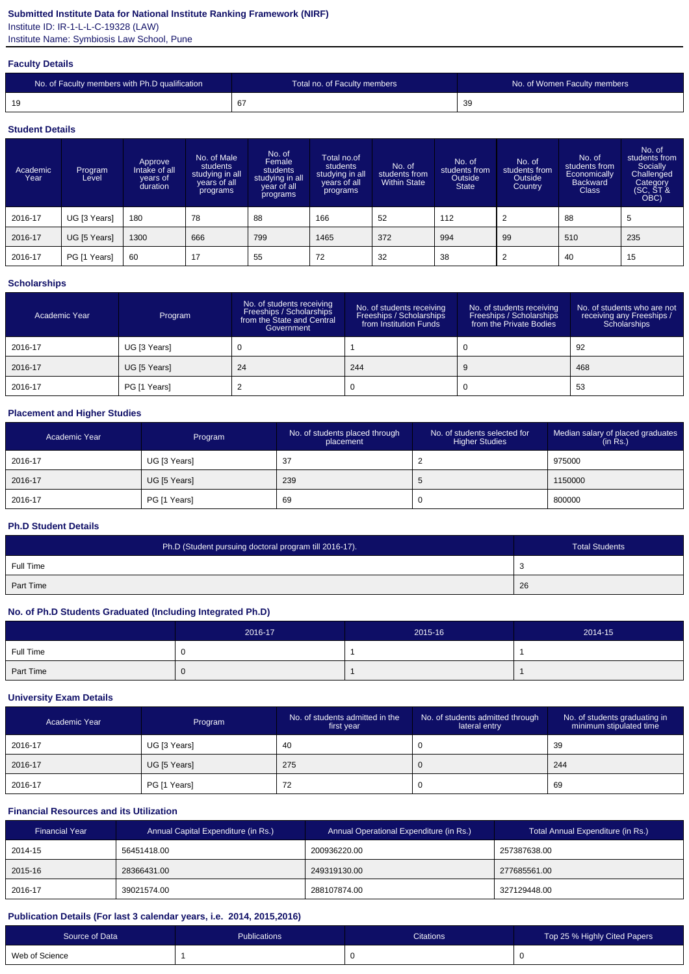## **Submitted Institute Data for National Institute Ranking Framework (NIRF)**

Institute ID: IR-1-L-L-C-19328 (LAW)

Institute Name: Symbiosis Law School, Pune

#### **Faculty Details**

| No. of Faculty members with Ph.D qualification | Total no. of Faculty members | No. of Women Faculty members |
|------------------------------------------------|------------------------------|------------------------------|
| 19                                             | -67                          | 39                           |

#### **Student Details**

| Academic<br>Year | Program<br>Level | Approve<br>Intake of all<br>years of<br>duration | No. of Male<br>students<br>studying in all<br>years of all<br>programs | No. of<br>Female<br>students<br>studying in all<br>year of all<br>programs | Total no.of<br>students<br>studying in all<br>years of all<br>programs | No. of<br>students from<br><b>Within State</b> | No. of<br>students from<br>Outside<br><b>State</b> | No. of<br>students from<br>Outside<br>Country | No. of<br>students from<br>Economically<br><b>Backward</b><br><b>Class</b> | No. of<br>students from<br>Socially<br>Challenged<br>Category<br>(SC, ST &<br>OBC) |
|------------------|------------------|--------------------------------------------------|------------------------------------------------------------------------|----------------------------------------------------------------------------|------------------------------------------------------------------------|------------------------------------------------|----------------------------------------------------|-----------------------------------------------|----------------------------------------------------------------------------|------------------------------------------------------------------------------------|
| 2016-17          | UG [3 Years]     | 180                                              | 78                                                                     | 88                                                                         | 166                                                                    | 52                                             | 112                                                | 2                                             | 88                                                                         | 5                                                                                  |
| 2016-17          | UG [5 Years]     | 1300                                             | 666                                                                    | 799                                                                        | 1465                                                                   | 372                                            | 994                                                | 99                                            | 510                                                                        | 235                                                                                |
| 2016-17          | PG [1 Years]     | 60                                               | 17                                                                     | 55                                                                         | 72                                                                     | 32                                             | 38                                                 | 2                                             | 40                                                                         | 15                                                                                 |

# **Scholarships**

| Academic Year | Program      | No. of students receiving<br>Freeships / Scholarships<br>from the State and Central<br>Government | No. of students receiving<br>Freeships / Scholarships<br>from Institution Funds | No. of students receiving<br>Freeships / Scholarships<br>from the Private Bodies | No. of students who are not<br>receiving any Freeships /<br>Scholarships |
|---------------|--------------|---------------------------------------------------------------------------------------------------|---------------------------------------------------------------------------------|----------------------------------------------------------------------------------|--------------------------------------------------------------------------|
| 2016-17       | UG [3 Years] |                                                                                                   |                                                                                 |                                                                                  | 92                                                                       |
| 2016-17       | UG [5 Years] | 24                                                                                                | 244                                                                             |                                                                                  | 468                                                                      |
| 2016-17       | PG [1 Years] |                                                                                                   |                                                                                 |                                                                                  | 53                                                                       |

## **Placement and Higher Studies**

| Academic Year | Program      | No. of students placed through<br>placement | No. of students selected for<br><b>Higher Studies</b> | Median salary of placed graduates<br>(in Rs.) |
|---------------|--------------|---------------------------------------------|-------------------------------------------------------|-----------------------------------------------|
| 2016-17       | UG [3 Years] | -37                                         |                                                       | 975000                                        |
| 2016-17       | UG [5 Years] | 239                                         |                                                       | 1150000                                       |
| 2016-17       | PG [1 Years] | -69                                         | л.                                                    | 800000                                        |

## **Ph.D Student Details**

| Ph.D (Student pursuing doctoral program till 2016-17). | <b>Total Students</b> |
|--------------------------------------------------------|-----------------------|
| Full Time                                              | ر.                    |
| Part Time                                              | 26                    |

## **No. of Ph.D Students Graduated (Including Integrated Ph.D)**

|           | 2016-17 | 2015-16 | 2014-15 |
|-----------|---------|---------|---------|
| Full Time |         |         |         |
| Part Time |         |         |         |

#### **University Exam Details**

| Academic Year | Program      | No. of students admitted in the<br>first year | No. of students admitted through<br>lateral entry | No. of students graduating in<br>minimum stipulated time |
|---------------|--------------|-----------------------------------------------|---------------------------------------------------|----------------------------------------------------------|
| 2016-17       | UG [3 Years] | -40                                           |                                                   | 39                                                       |
| 2016-17       | UG [5 Years] | 275                                           | 0                                                 | 244                                                      |
| 2016-17       | PG [1 Years] | 72<br>$\epsilon$                              |                                                   | 69                                                       |

#### **Financial Resources and its Utilization**

| <b>Financial Year</b> | Annual Capital Expenditure (in Rs.) | Annual Operational Expenditure (in Rs.) | Total Annual Expenditure (in Rs.) |
|-----------------------|-------------------------------------|-----------------------------------------|-----------------------------------|
| 2014-15               | 56451418.00                         | 200936220.00                            | 257387638.00                      |
| 2015-16               | 28366431.00                         | 249319130.00                            | 277685561.00                      |
| 2016-17               | 39021574.00                         | 288107874.00                            | 327129448.00                      |

## **Publication Details (For last 3 calendar years, i.e. 2014, 2015,2016)**

| Source of Data | <b>Publications</b> | <b>Citations</b> | Top 25 % Highly Cited Papers |
|----------------|---------------------|------------------|------------------------------|
| Web of Science |                     |                  |                              |